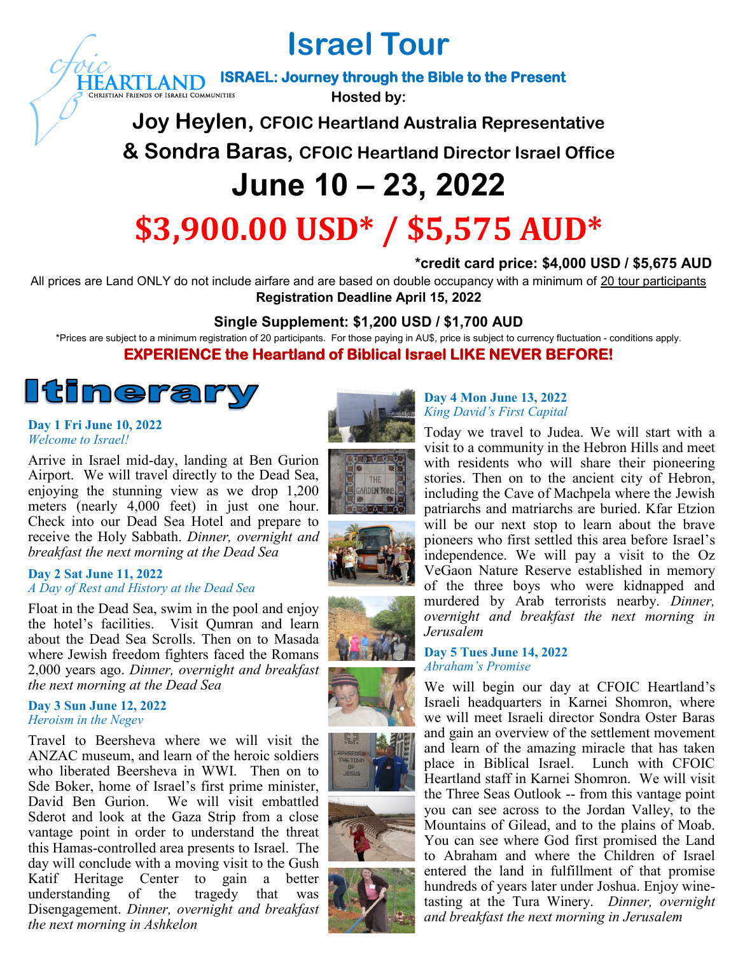**Israel Tour**

**ISRAEL: Journey through the Bible to the Present HEARTLAND** 

**Hosted by:**

**Joy Heylen, CFOIC Heartland Australia Representative**

**& Sondra Baras, CFOIC Heartland Director Israel Office**

# **June 10 – 23, 2022**

# **\$3,900.00 USD\* / \$5,575 AUD\***

# **\*credit card price: \$4,000 USD / \$5,675 AUD**

All prices are Land ONLY do not include airfare and are based on double occupancy with a minimum of 20 tour participants **Registration Deadline April 15, 2022**

# **Single Supplement: \$1,200 USD / \$1,700 AUD**

\*Prices are subject to a minimum registration of 20 participants. For those paying in AU\$, price is subject to currency fluctuation - conditions apply.

# **EXPERIENCE the Heartland of Biblical Israel LIKE NEVER BEFORE!**

# <u>Itinerar</u>

#### **Day 1 Fri June 10, 2022** *Welcome to Israel!*

Arrive in Israel mid-day, landing at Ben Gurion Airport. We will travel directly to the Dead Sea, enjoying the stunning view as we drop 1,200 meters (nearly 4,000 feet) in just one hour. Check into our Dead Sea Hotel and prepare to receive the Holy Sabbath. *Dinner, overnight and breakfast the next morning at the Dead Sea*

### **Day 2 Sat June 11, 2022** *A Day of Rest and History at the Dead Sea*

Float in the Dead Sea, swim in the pool and enjoy the hotel's facilities. Visit Qumran and learn about the Dead Sea Scrolls. Then on to Masada where Jewish freedom fighters faced the Romans 2,000 years ago. *Dinner, overnight and breakfast the next morning at the Dead Sea*

#### **Day 3 Sun June 12, 2022** *Heroism in the Negev*

Travel to Beersheva where we will visit the ANZAC museum, and learn of the heroic soldiers who liberated Beersheva in WWI. Then on to Sde Boker, home of Israel's first prime minister, David Ben Gurion. We will visit embattled Sderot and look at the Gaza Strip from a close vantage point in order to understand the threat this Hamas-controlled area presents to Israel. The day will conclude with a moving visit to the Gush Katif Heritage Center to gain a better understanding of the tragedy that was Disengagement. *Dinner, overnight and breakfast the next morning in Ashkelon*















### **Day 4 Mon June 13, 2022** *King David's First Capital*



## **Day 5 Tues June 14, 2022** *Abraham's Promise*

We will begin our day at CFOIC Heartland's Israeli headquarters in Karnei Shomron, where we will meet Israeli director Sondra Oster Baras and gain an overview of the settlement movement and learn of the amazing miracle that has taken place in Biblical Israel. Lunch with CFOIC Heartland staff in Karnei Shomron. We will visit the Three Seas Outlook -- from this vantage point you can see across to the Jordan Valley, to the Mountains of Gilead, and to the plains of Moab. You can see where God first promised the Land to Abraham and where the Children of Israel entered the land in fulfillment of that promise hundreds of years later under Joshua. Enjoy winetasting at the Tura Winery. *Dinner, overnight and breakfast the next morning in Jerusalem*